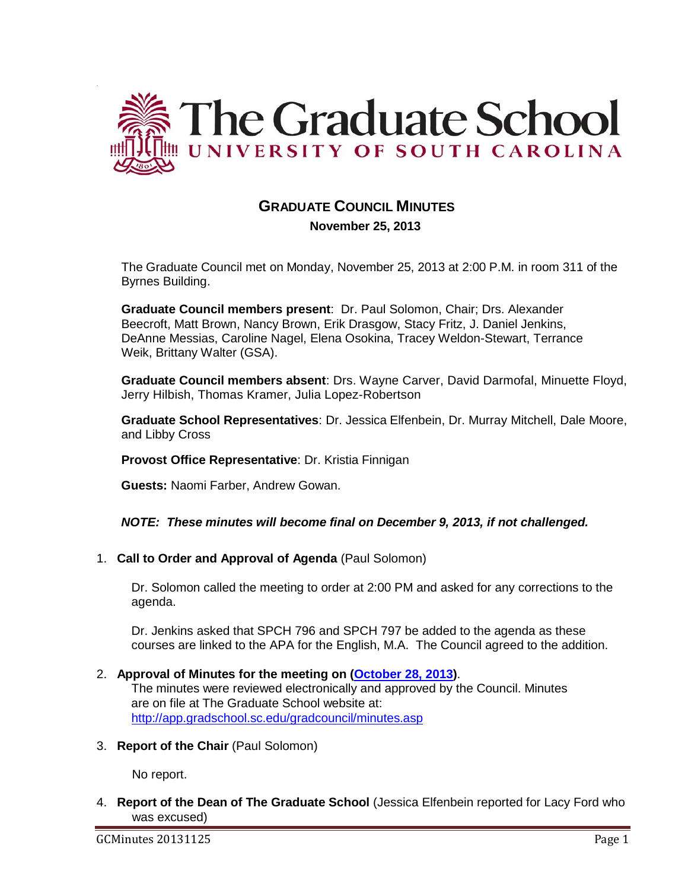

# **GRADUATE COUNCIL MINUTES**

 **November 25, 2013**

The Graduate Council met on Monday, November 25, 2013 at 2:00 P.M. in room 311 of the Byrnes Building.

**Graduate Council members present**: Dr. Paul Solomon, Chair; Drs. Alexander Beecroft, Matt Brown, Nancy Brown, Erik Drasgow, Stacy Fritz, J. Daniel Jenkins, DeAnne Messias, Caroline Nagel, Elena Osokina, Tracey Weldon-Stewart, Terrance Weik, Brittany Walter (GSA).

**Graduate Council members absent**: Drs. Wayne Carver, David Darmofal, Minuette Floyd, Jerry Hilbish, Thomas Kramer, Julia Lopez-Robertson

**Graduate School Representatives**: Dr. Jessica Elfenbein, Dr. Murray Mitchell, Dale Moore, and Libby Cross

**Provost Office Representative**: Dr. Kristia Finnigan

**Guests:** Naomi Farber, Andrew Gowan.

## *NOTE: These minutes will become final on December 9, 2013, if not challenged.*

1. **Call to Order and Approval of Agenda** (Paul Solomon)

Dr. Solomon called the meeting to order at 2:00 PM and asked for any corrections to the agenda.

Dr. Jenkins asked that SPCH 796 and SPCH 797 be added to the agenda as these courses are linked to the APA for the English, M.A. The Council agreed to the addition.

## 2. **Approval of Minutes for the meeting on (October 28, 2013)**.

The minutes were reviewed electronically and approved by the Council. Minutes are on file at The Graduate School website at: <http://app.gradschool.sc.edu/gradcouncil/minutes.asp>

3. **Report of the Chair** (Paul Solomon)

No report.

4. **Report of the Dean of The Graduate School** (Jessica Elfenbein reported for Lacy Ford who was excused)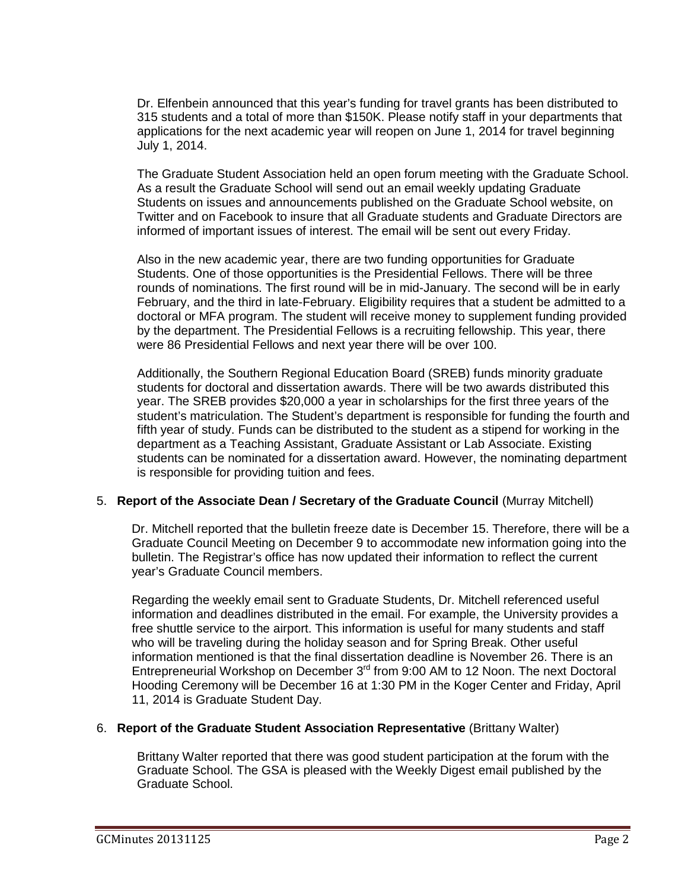Dr. Elfenbein announced that this year's funding for travel grants has been distributed to 315 students and a total of more than \$150K. Please notify staff in your departments that applications for the next academic year will reopen on June 1, 2014 for travel beginning July 1, 2014.

The Graduate Student Association held an open forum meeting with the Graduate School. As a result the Graduate School will send out an email weekly updating Graduate Students on issues and announcements published on the Graduate School website, on Twitter and on Facebook to insure that all Graduate students and Graduate Directors are informed of important issues of interest. The email will be sent out every Friday.

Also in the new academic year, there are two funding opportunities for Graduate Students. One of those opportunities is the Presidential Fellows. There will be three rounds of nominations. The first round will be in mid-January. The second will be in early February, and the third in late-February. Eligibility requires that a student be admitted to a doctoral or MFA program. The student will receive money to supplement funding provided by the department. The Presidential Fellows is a recruiting fellowship. This year, there were 86 Presidential Fellows and next year there will be over 100.

Additionally, the Southern Regional Education Board (SREB) funds minority graduate students for doctoral and dissertation awards. There will be two awards distributed this year. The SREB provides \$20,000 a year in scholarships for the first three years of the student's matriculation. The Student's department is responsible for funding the fourth and fifth year of study. Funds can be distributed to the student as a stipend for working in the department as a Teaching Assistant, Graduate Assistant or Lab Associate. Existing students can be nominated for a dissertation award. However, the nominating department is responsible for providing tuition and fees.

## 5. **Report of the Associate Dean / Secretary of the Graduate Council** (Murray Mitchell)

Dr. Mitchell reported that the bulletin freeze date is December 15. Therefore, there will be a Graduate Council Meeting on December 9 to accommodate new information going into the bulletin. The Registrar's office has now updated their information to reflect the current year's Graduate Council members.

Regarding the weekly email sent to Graduate Students, Dr. Mitchell referenced useful information and deadlines distributed in the email. For example, the University provides a free shuttle service to the airport. This information is useful for many students and staff who will be traveling during the holiday season and for Spring Break. Other useful information mentioned is that the final dissertation deadline is November 26. There is an Entrepreneurial Workshop on December 3rd from 9:00 AM to 12 Noon. The next Doctoral Hooding Ceremony will be December 16 at 1:30 PM in the Koger Center and Friday, April 11, 2014 is Graduate Student Day.

## 6. **Report of the Graduate Student Association Representative** (Brittany Walter)

Brittany Walter reported that there was good student participation at the forum with the Graduate School. The GSA is pleased with the Weekly Digest email published by the Graduate School.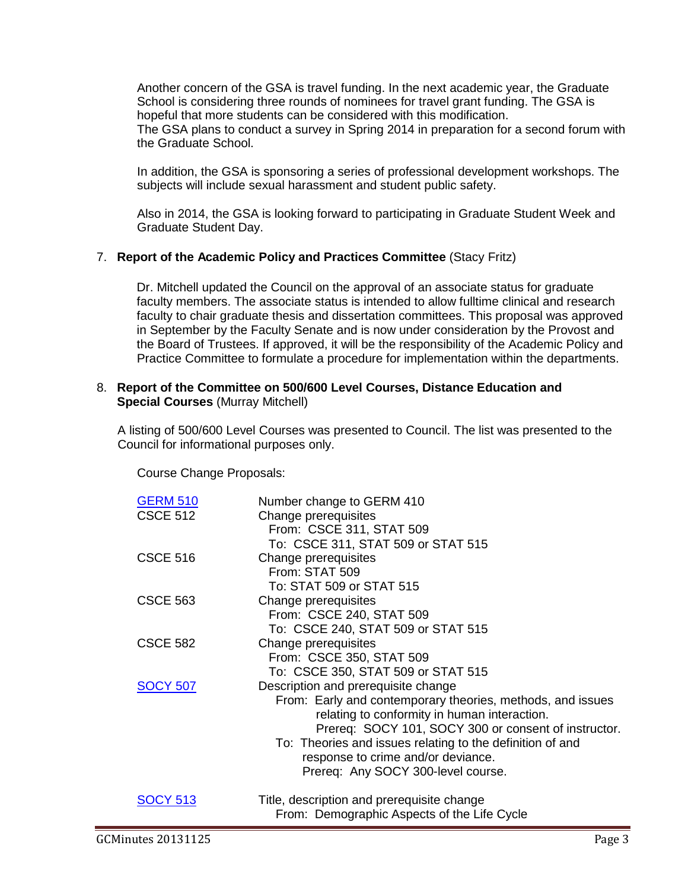Another concern of the GSA is travel funding. In the next academic year, the Graduate School is considering three rounds of nominees for travel grant funding. The GSA is hopeful that more students can be considered with this modification. The GSA plans to conduct a survey in Spring 2014 in preparation for a second forum with

the Graduate School.

In addition, the GSA is sponsoring a series of professional development workshops. The subjects will include sexual harassment and student public safety.

Also in 2014, the GSA is looking forward to participating in Graduate Student Week and Graduate Student Day.

## 7. **Report of the Academic Policy and Practices Committee** (Stacy Fritz)

Dr. Mitchell updated the Council on the approval of an associate status for graduate faculty members. The associate status is intended to allow fulltime clinical and research faculty to chair graduate thesis and dissertation committees. This proposal was approved in September by the Faculty Senate and is now under consideration by the Provost and the Board of Trustees. If approved, it will be the responsibility of the Academic Policy and Practice Committee to formulate a procedure for implementation within the departments.

## 8. **Report of the Committee on 500/600 Level Courses, Distance Education and Special Courses** (Murray Mitchell)

A listing of 500/600 Level Courses was presented to Council. The list was presented to the Council for informational purposes only.

Course Change Proposals:

| <b>GERM 510</b> | Number change to GERM 410                                                                                                                                                                                                                                                                                                                          |
|-----------------|----------------------------------------------------------------------------------------------------------------------------------------------------------------------------------------------------------------------------------------------------------------------------------------------------------------------------------------------------|
| <b>CSCE 512</b> | Change prerequisites<br>From: CSCE 311, STAT 509<br>To: CSCE 311, STAT 509 or STAT 515                                                                                                                                                                                                                                                             |
| <b>CSCE 516</b> | Change prerequisites<br>From: STAT 509<br>To: STAT 509 or STAT 515                                                                                                                                                                                                                                                                                 |
| <b>CSCE 563</b> | Change prerequisites<br>From: CSCE 240, STAT 509<br>To: CSCE 240, STAT 509 or STAT 515                                                                                                                                                                                                                                                             |
| <b>CSCE 582</b> | Change prerequisites<br>From: CSCE 350, STAT 509<br>To: CSCE 350, STAT 509 or STAT 515                                                                                                                                                                                                                                                             |
| <b>SOCY 507</b> | Description and prerequisite change<br>From: Early and contemporary theories, methods, and issues<br>relating to conformity in human interaction.<br>Prereq: SOCY 101, SOCY 300 or consent of instructor.<br>To: Theories and issues relating to the definition of and<br>response to crime and/or deviance.<br>Prereq: Any SOCY 300-level course. |
| SOCY 513        | Title, description and prerequisite change<br>From: Demographic Aspects of the Life Cycle                                                                                                                                                                                                                                                          |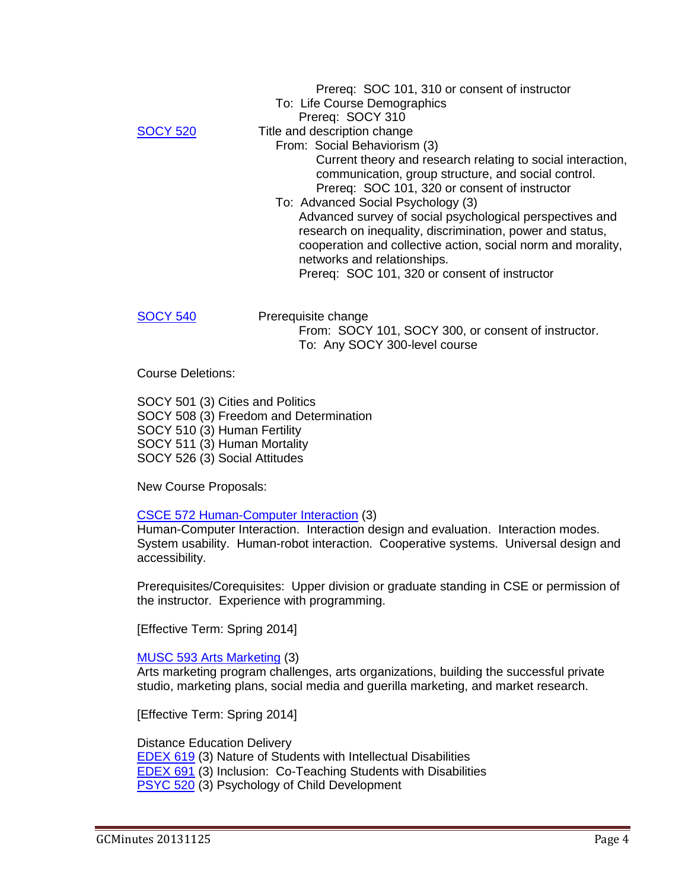|                 | Prereq: SOC 101, 310 or consent of instructor                |
|-----------------|--------------------------------------------------------------|
|                 | To: Life Course Demographics                                 |
|                 | Prereq: SOCY 310                                             |
| <b>SOCY 520</b> | Title and description change                                 |
|                 | From: Social Behaviorism (3)                                 |
|                 | Current theory and research relating to social interaction,  |
|                 | communication, group structure, and social control.          |
|                 | Prereq: SOC 101, 320 or consent of instructor                |
|                 | To: Advanced Social Psychology (3)                           |
|                 | Advanced survey of social psychological perspectives and     |
|                 | research on inequality, discrimination, power and status,    |
|                 | cooperation and collective action, social norm and morality, |
|                 | networks and relationships.                                  |
|                 | Prereq: SOC 101, 320 or consent of instructor                |
|                 |                                                              |
|                 |                                                              |
| CY 540          | Prerequisite change                                          |
|                 | From: SOCY 101, SOCY 300, or consent of instructor.          |

To: Any SOCY 300-level course

Course Deletions:

SOCY 501 (3) Cities and Politics SOCY 508 (3) Freedom and Determination SOCY 510 (3) Human Fertility SOCY 511 (3) Human Mortality SOCY 526 (3) Social Attitudes

New Course Proposals:

#### CSCE 572 Human-Computer Interaction (3)

Human-Computer Interaction. Interaction design and evaluation. Interaction modes. System usability. Human-robot interaction. Cooperative systems. Universal design and accessibility.

Prerequisites/Corequisites: Upper division or graduate standing in CSE or permission of the instructor. Experience with programming.

[Effective Term: Spring 2014]

### MUSC 593 Arts Marketing (3)

Arts marketing program challenges, arts organizations, building the successful private studio, marketing plans, social media and guerilla marketing, and market research.

[Effective Term: Spring 2014]

Distance Education Delivery EDEX 619 (3) Nature of Students with Intellectual Disabilities EDEX 691 (3) Inclusion: Co-Teaching Students with Disabilities PSYC 520 (3) Psychology of Child Development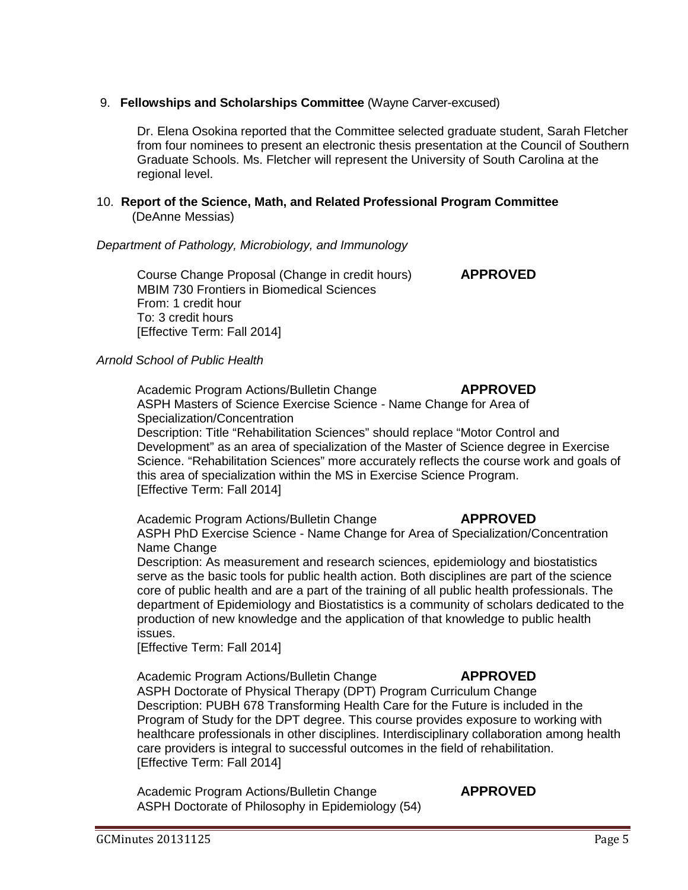## 9. **Fellowships and Scholarships Committee** (Wayne Carver-excused)

Dr. Elena Osokina reported that the Committee selected graduate student, Sarah Fletcher from four nominees to present an electronic thesis presentation at the Council of Southern Graduate Schools. Ms. Fletcher will represent the University of South Carolina at the regional level.

### 10. **Report of the Science, Math, and Related Professional Program Committee** (DeAnne Messias)

## *Department of Pathology, Microbiology, and Immunology*

Course Change Proposal (Change in credit hours) **APPROVED** [MBIM 730 Frontiers in Biomedical Sciences](http://gradschool.sc.edu/facstaff/gradcouncil/2013/MBIM%20730%20Frontiers%20in%20Biomedical%20Sciences_Redacted.pdf) From: 1 credit hour To: 3 credit hours [Effective Term: Fall 2014]

## *Arnold School of Public Health*

Academic Program Actions/Bulletin Change **APPROVED** [ASPH Masters of Science Exercise Science -](http://gradschool.sc.edu/facstaff/gradcouncil/2013/MS%20EXercise%20SCience%20apa%20ASPH_Redacted.pdf) Name Change for Area of [Specialization/Concentration](http://gradschool.sc.edu/facstaff/gradcouncil/2013/MS%20EXercise%20SCience%20apa%20ASPH_Redacted.pdf)

Description: Title "Rehabilitation Sciences" should replace "Motor Control and Development" as an area of specialization of the Master of Science degree in Exercise Science. "Rehabilitation Sciences" more accurately reflects the course work and goals of this area of specialization within the MS in Exercise Science Program. [Effective Term: Fall 2014]

Academic Program Actions/Bulletin Change **APPROVED**

ASPH PhD Exercise Science - [Name Change for Area of Specialization/Concentration](http://gradschool.sc.edu/facstaff/gradcouncil/2013/PhD%20%20EXercise%20SCience%20APA%20ASPH_Redacted.pdf) Name Change

Description: As measurement and research sciences, epidemiology and biostatistics serve as the basic tools for public health action. Both disciplines are part of the science core of public health and are a part of the training of all public health professionals. The department of Epidemiology and Biostatistics is a community of scholars dedicated to the production of new knowledge and the application of that knowledge to public health issues.

[Effective Term: Fall 2014]

Academic Program Actions/Bulletin Change **APPROVED**

ASPH Doctorate of [Physical Therapy \(DPT\) Program Curriculum Change](http://gradschool.sc.edu/facstaff/gradcouncil/2013/DPT%20EXercise%20SCience%20APA%20ASPH_Redacted.pdf) Description: PUBH 678 Transforming Health Care for the Future is included in the Program of Study for the DPT degree. This course provides exposure to working with healthcare professionals in other disciplines. Interdisciplinary collaboration among health care providers is integral to successful outcomes in the field of rehabilitation. [Effective Term: Fall 2014]

Academic Program Actions/Bulletin Change **APPROVED** [ASPH Doctorate of Philosophy in Epidemiology \(54\)](http://gradschool.sc.edu/facstaff/gradcouncil/2013/DPT%20EXercise%20SCience%20APA%20ASPH_Redacted.pdf)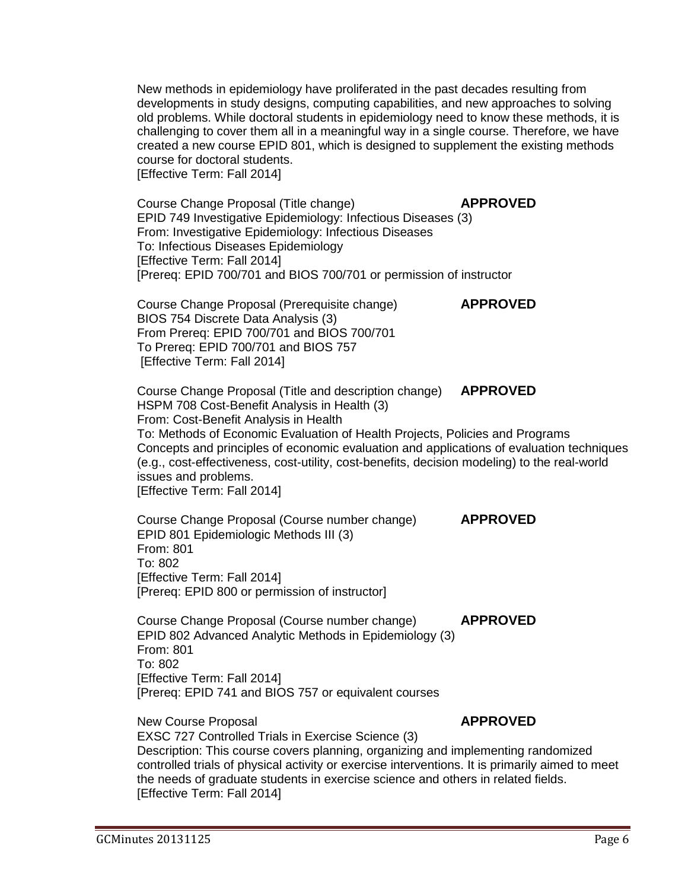New methods in epidemiology have proliferated in the past decades resulting from developments in study designs, computing capabilities, and new approaches to solving old problems. While doctoral students in epidemiology need to know these methods, it is challenging to cover them all in a meaningful way in a single course. Therefore, we have created a new course EPID 801, which is designed to supplement the existing methods course for doctoral students. [Effective Term: Fall 2014]

Course Change Proposal (Title change) **APPROVED** [EPID 749 Investigative Epidemiology: Infectious Diseases](http://gradschool.sc.edu/facstaff/gradcouncil/2013/EPID%20749%20CCP%20_Redacted.pdf) (3)

To: Infectious Diseases Epidemiology

[Effective Term: Fall 2014]

From: Investigative Epidemiology: Infectious Diseases

[Prereq: EPID 700/701 and BIOS 700/701 or permission of instructor

Course Change Proposal (Prerequisite change) **APPROVED**

[BIOS 754 Discrete Data Analysis](http://gradschool.sc.edu/facstaff/gradcouncil/2013/BIOS%20754%20CCP_Redacted.pdf) (3) From Prereq: EPID 700/701 and BIOS 700/701 To Prereq: EPID 700/701 and BIOS 757 [Effective Term: Fall 2014] Course Change Proposal (Title and description change) **APPROVED** [HSPM 708 Cost-Benefit Analysis](http://gradschool.sc.edu/facstaff/gradcouncil/2013/HSPM%20708%20CCP_Redacted.pdf) in Health (3) From: Cost-Benefit Analysis in Health To: Methods of Economic Evaluation of Health Projects, Policies and Programs Concepts and principles of economic evaluation and applications of evaluation techniques (e.g., cost-effectiveness, cost-utility, cost-benefits, decision modeling) to the real-world issues and problems. [Effective Term: Fall 2014] Course Change Proposal (Course number change) **APPROVED**

[EPID 801 Epidemiologic Methods III](http://gradschool.sc.edu/facstaff/gradcouncil/2013/EPID%20801%20CCP.pdf) (3) From: 801 To: 802 [Effective Term: Fall 2014] [Prereq: EPID 800 or permission of instructor]

Course Change Proposal (Course number change) **APPROVED** [EPID 802 Advanced Analytic Methods in Epidemiology](http://gradschool.sc.edu/facstaff/gradcouncil/2013/EPID%20802%20CCP.pdf) (3) From: 801 To: 802 [Effective Term: Fall 2014] [Prereq: EPID 741 and BIOS 757 or equivalent courses

New Course Proposal **APPROVED** 

[EXSC 727 Controlled Trials in Exercise Science](http://gradschool.sc.edu/facstaff/gradcouncil/2013/EXSC%20727_Redacted.pdf) (3) Description: This course covers planning, organizing and implementing randomized controlled trials of physical activity or exercise interventions. It is primarily aimed to meet the needs of graduate students in exercise science and others in related fields. [Effective Term: Fall 2014]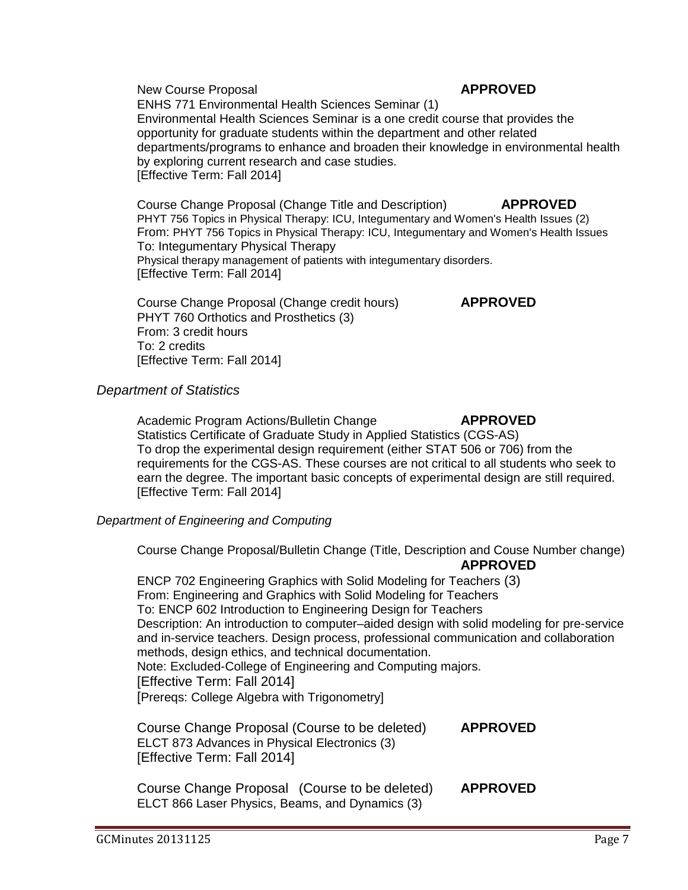New Course Proposal **APPROVED** [ENHS 771 Environmental Health Sciences Seminar](http://gradschool.sc.edu/facstaff/gradcouncil/2013/ENHS%20771_Redacted.pdf) (1) Environmental Health Sciences Seminar is a one credit course that provides the opportunity for graduate students within the department and other related departments/programs to enhance and broaden their knowledge in environmental health by exploring current research and case studies. [Effective Term: Fall 2014]

Course Change Proposal (Change Title and Description) **APPROVED** [PHYT 756 Topics in Physical Therapy: ICU, Integumentary and Women's Health Issues](http://gradschool.sc.edu/facstaff/gradcouncil/2013/PHYT%20756%20CCP_Redacted.pdf) (2) From: [PHYT 756 Topics in Physical Therapy: ICU, Integumentary and Women's Health Issues](http://gradschool.sc.edu/facstaff/gradcouncil/2013/PHYT%20756%20CCP_Redacted.pdf) To: Integumentary Physical Therapy Physical therapy management of patients with integumentary disorders. [Effective Term: Fall 2014]

Course Change Proposal (Change credit hours) **APPROVED** [PHYT 760 Orthotics and Prosthetics](http://gradschool.sc.edu/facstaff/gradcouncil/2013/PHYT%20760%20CCP_Redacted.pdf) (3) From: 3 credit hours To: 2 credits [Effective Term: Fall 2014]

## *Department of Statistics*

Academic Program Actions/Bulletin Change **APPROVED** [Statistics Certificate of Graduate Study in Applied Statistics \(CGS-AS\)](http://gradschool.sc.edu/facstaff/gradcouncil/2013/Statistics%20Certificate%20of%20Graduate%20Study%20in%20Applied%20Statistics%20(CGS-AS).pdf) To drop the experimental design requirement (either STAT 506 or 706) from the requirements for the CGS-AS. These courses are not critical to all students who seek to earn the degree. The important basic concepts of experimental design are still required. [Effective Term: Fall 2014]

## *Department of Engineering and Computing*

Course Change Proposal/Bulletin Change (Title, Description and Couse Number change) **APPROVED**

[ENCP 702 Engineering Graphics with Solid Modeling for Teachers](http://gradschool.sc.edu/facstaff/gradcouncil/2013/ENCP%20702%20CCP_Redacted.pdf) (3) From: Engineering and Graphics with Solid Modeling for Teachers To: ENCP 602 Introduction to Engineering Design for Teachers Description: An introduction to computer–aided design with solid modeling for pre-service and in-service teachers. Design process, professional communication and collaboration methods, design ethics, and technical documentation. Note: Excluded-College of Engineering and Computing majors. [Effective Term: Fall 2014] [Prereqs: College Algebra with Trigonometry]

| Course Change Proposal (Course to be deleted) | <b>APPROVED</b> |
|-----------------------------------------------|-----------------|
| ELCT 873 Advances in Physical Electronics (3) |                 |
| [Effective Term: Fall 2014]                   |                 |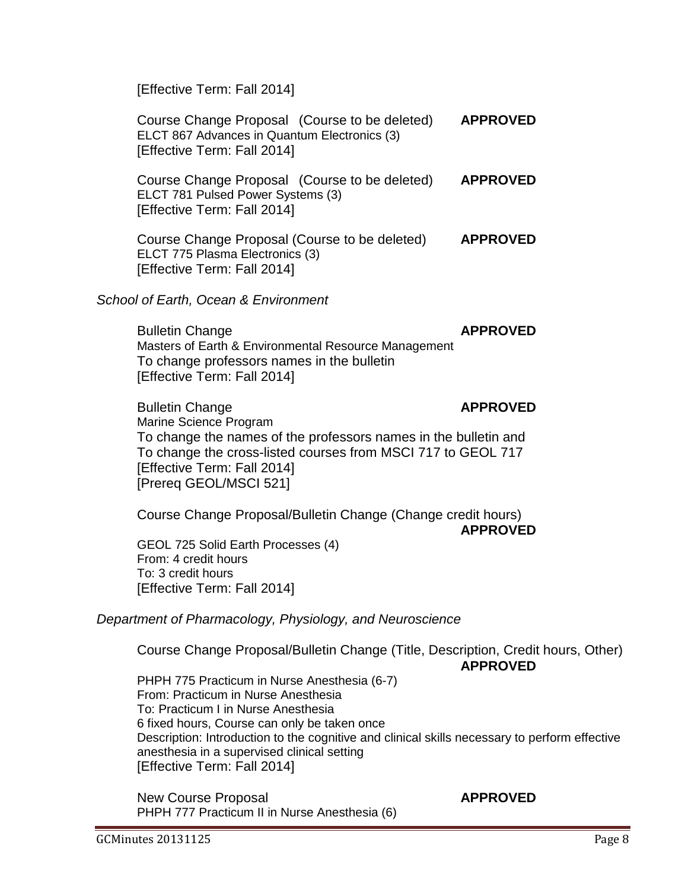[Effective Term: Fall 2014]

Course Change Proposal (Course to be deleted) **APPROVED** [ELCT 867 Advances in Quantum Electronics](http://gradschool.sc.edu/facstaff/gradcouncil/2013/ELCT%20867%20ccp_Redacted.pdf) (3) [Effective Term: Fall 2014]

Course Change Proposal (Course to be deleted) **APPROVED** [ELCT 781 Pulsed Power Systems](http://gradschool.sc.edu/facstaff/gradcouncil/2013/ELCT%20781_Redacted.pdf) (3) [Effective Term: Fall 2014]

Course Change Proposal (Course to be deleted) **APPROVED** [ELCT 775 Plasma Electronics](http://gradschool.sc.edu/facstaff/gradcouncil/2013/ELCT%20775%20CCP_Redacted.pdf) (3) [Effective Term: Fall 2014]

*School of Earth, Ocean & Environment*

**Bulletin Change APPROVED** [Masters of Earth & Environmental Resource Management](http://gradschool.sc.edu/facstaff/gradcouncil/2013/MEERM%20BCH%2010-18_Redacted.pdf) To change professors names in the bulletin [Effective Term: Fall 2014]

Bulletin Change **APPROVED** [Marine Science Program](http://gradschool.sc.edu/facstaff/gradcouncil/2013/Marine%20Science%20Program%20BCH%209-30_Redacted.pdf)  To change the names of the professors names in the bulletin and To change the cross-listed courses from MSCI 717 to GEOL 717 [Effective Term: Fall 2014] [Prereq GEOL/MSCI 521]

Course Change Proposal/Bulletin Change (Change credit hours) **APPROVED**

[GEOL 725 Solid Earth Processes](http://gradschool.sc.edu/facstaff/gradcouncil/2013/GEOL%20725%20CCP_Redacted.pdf) (4) From: 4 credit hours To: 3 credit hours [Effective Term: Fall 2014]

*Department of Pharmacology, Physiology, and Neuroscience*

Course Change Proposal/Bulletin Change (Title, Description, Credit hours, Other) **APPROVED**

[PHPH 775 Practicum in Nurse Anesthesia](http://gradschool.sc.edu/facstaff/gradcouncil/2013/PHPH%20775%20CCP_Redacted.pdf) (6-7) From: Practicum in Nurse Anesthesia To: Practicum I in Nurse Anesthesia 6 fixed hours, Course can only be taken once Description: Introduction to the cognitive and clinical skills necessary to perform effective anesthesia in a supervised clinical setting [Effective Term: Fall 2014]

New Course Proposal **APPROVED** [PHPH 777 Practicum II in Nurse Anesthesia](http://gradschool.sc.edu/facstaff/gradcouncil/2013/PHPH%20777%20NCP_Redacted.pdf) (6)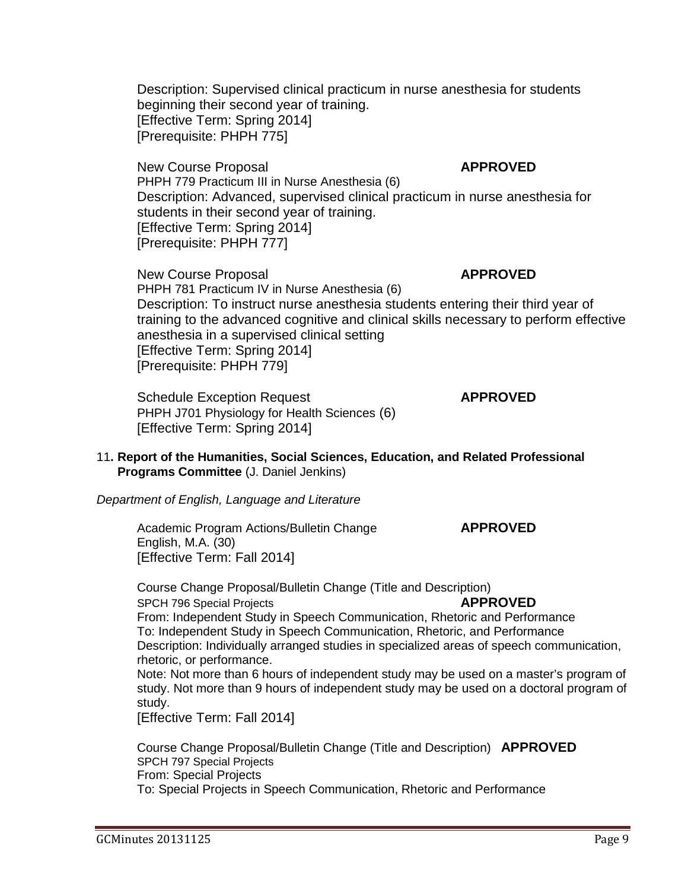Description: Supervised clinical practicum in nurse anesthesia for students beginning their second year of training. [Effective Term: Spring 2014] [Prerequisite: PHPH 775]

New Course Proposal **APPROVED** [PHPH 779 Practicum III in Nurse Anesthesia](http://gradschool.sc.edu/facstaff/gradcouncil/2013/PHPH%20779%20NCP_Redacted.pdf) (6) Description: Advanced, supervised clinical practicum in nurse anesthesia for students in their second year of training. [Effective Term: Spring 2014] [Prerequisite: PHPH 777]

New Course Proposal **APPROVED** [PHPH 781 Practicum IV in Nurse Anesthesia](http://gradschool.sc.edu/facstaff/gradcouncil/2013/PHPH%20779%20NCP_Redacted.pdf) (6) Description: To instruct nurse anesthesia students entering their third year of training to the advanced cognitive and clinical skills necessary to perform effective anesthesia in a supervised clinical setting [Effective Term: Spring 2014] [Prerequisite: PHPH 779]

Schedule Exception Request **APPROVED** [PHPH J701 Physiology for Health Sciences](http://gradschool.sc.edu/facstaff/gradcouncil/2013/PHPH%20J701_Redacted.pdf) (6) [Effective Term: Spring 2014]

11**. Report of the Humanities, Social Sciences, Education, and Related Professional Programs Committee** (J. Daniel Jenkins)

*Department of English, Language and Literature*

Academic Program Actions/Bulletin Change **APPROVED** [English, M.A.](http://gradschool.sc.edu/facstaff/gradcouncil/2013/APA%20ENGL%20MA%20AOE%20Spch%20Comm%20curr%20change%20November%2020%202013%20(2).pdf) (30) [Effective Term: Fall 2014]

Course Change Proposal/Bulletin Change (Title and Description) [SPCH 796 Special Projects](http://gradschool.sc.edu/facstaff/gradcouncil/2013/814%20CCP%20SPCH%20796_Redacted.pdf) **APPROVED** From: Independent Study in Speech Communication, Rhetoric and Performance To: Independent Study in Speech Communication, Rhetoric, and Performance Description: Individually arranged studies in specialized areas of speech communication, rhetoric, or performance. Note: Not more than 6 hours of independent study may be used on a master's program of study. Not more than 9 hours of independent study may be used on a doctoral program of study. [Effective Term: Fall 2014]

Course Change Proposal/Bulletin Change (Title and Description) **APPROVED** [SPCH 797 Special Projects](http://gradschool.sc.edu/facstaff/gradcouncil/2013/814%20CCP%20SPCH%20797%20BCH%20JUS_Redacted.pdf) From: Special Projects To: Special Projects in Speech Communication, Rhetoric and Performance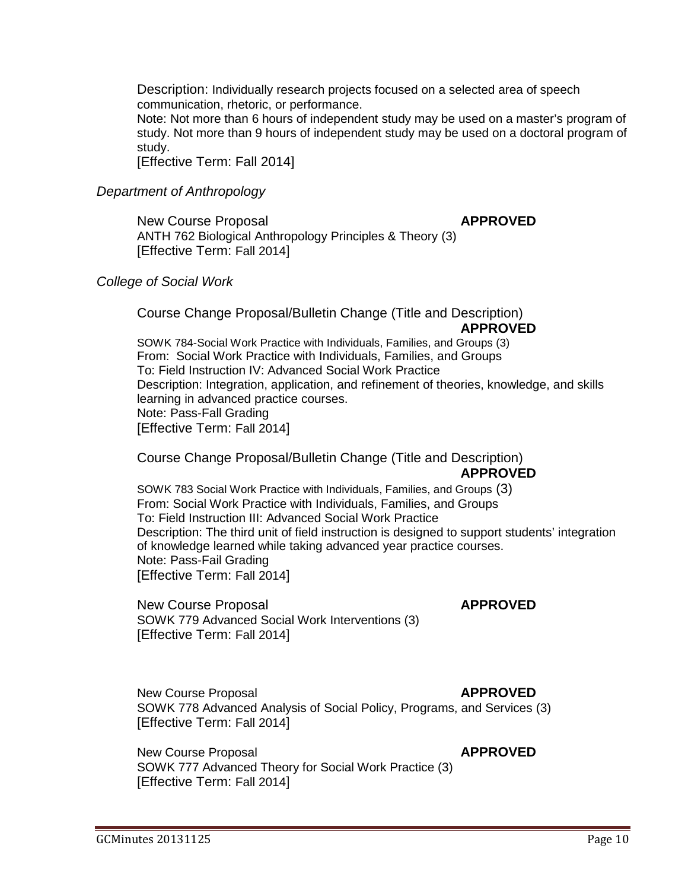Description: Individually research projects focused on a selected area of speech communication, rhetoric, or performance.

Note: Not more than 6 hours of independent study may be used on a master's program of study. Not more than 9 hours of independent study may be used on a doctoral program of study.

[Effective Term: Fall 2014]

#### *Department of Anthropology*

New Course Proposal **APPROVED** [ANTH 762 Biological Anthropology Principles & Theory](http://gradschool.sc.edu/facstaff/gradcouncil/2013/ANTH%20762%20NCP_Redacted1.pdf) (3) [Effective Term: Fall 2014]

#### *College of Social Work*

Course Change Proposal/Bulletin Change (Title and Description) **APPROVED**

[SOWK 784-Social Work Practice with Individuals, Families, and Groups](http://gradschool.sc.edu/facstaff/gradcouncil/2013/SOWK%20784%20CCP_Redacted.pdf) (3) From: Social Work Practice with Individuals, Families, and Groups To: Field Instruction IV: Advanced Social Work Practice Description: Integration, application, and refinement of theories, knowledge, and skills learning in advanced practice courses. Note: Pass-Fall Grading [Effective Term: Fall 2014]

Course Change Proposal/Bulletin Change (Title and Description) **APPROVED**

[SOWK 783 Social Work Practice with Individuals, Families,](http://gradschool.sc.edu/facstaff/gradcouncil/2013/SOWK%20783%20Social%20Work%20Practice%20with%20Individuals,%20Families%20and%20Groups%20Field%20Instruction%20III_Redacted.pdf) and Groups (3) From: Social Work Practice with Individuals, Families, and Groups To: Field Instruction III: Advanced Social Work Practice Description: The third unit of field instruction is designed to support students' integration of knowledge learned while taking advanced year practice courses. Note: Pass-Fail Grading [Effective Term: Fall 2014]

New Course Proposal **APPROVED** [SOWK 779 Advanced Social Work Interventions](http://gradschool.sc.edu/facstaff/gradcouncil/2013/SOWK%20779%20NCP_Redacted1.pdf) (3) [Effective Term: Fall 2014]

New Course Proposal **APPROVED** [SOWK 778 Advanced Analysis of Social Policy, Programs, and Services](http://gradschool.sc.edu/facstaff/gradcouncil/2013/SOWK%20778%20NCP_Redacted1.pdf) (3) [Effective Term: Fall 2014]

New Course Proposal **APPROVED** [SOWK 777 Advanced Theory for Social Work Practice](http://gradschool.sc.edu/facstaff/gradcouncil/2013/SOWK%20777%20NCP_Redacted2.pdf) (3) [Effective Term: Fall 2014]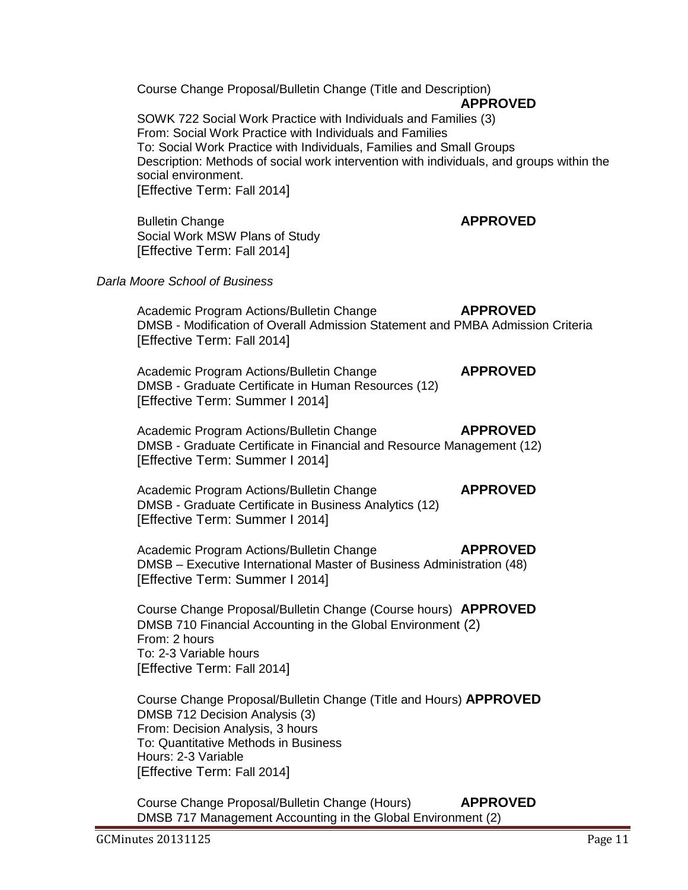Course Change Proposal/Bulletin Change (Title and Description) **APPROVED** [SOWK 722 Social Work Practice with Individuals and Families](http://gradschool.sc.edu/facstaff/gradcouncil/2013/SOWK%20722%20CCP_Redacted1.pdf) (3) From: Social Work Practice with Individuals and Families To: Social Work Practice with Individuals, Families and Small Groups Description: Methods of social work intervention with individuals, and groups within the social environment. [Effective Term: Fall 2014] **Bulletin Change <b>APPROVED** [Social Work MSW Plans of Study](http://gradschool.sc.edu/facstaff/gradcouncil/2013/SOWK%20BCH%20MSW%20Plan%20of%20Study.pdf) [Effective Term: Fall 2014] *Darla Moore School of Business* Academic Program Actions/Bulletin Change **APPROVED** DMSB - [Modification of Overall Admission Statement and PMBA Admission Criteria](http://gradschool.sc.edu/facstaff/gradcouncil/2013/PMBA%20Modification%20to%20Master) [Effective Term: Fall 2014] Academic Program Actions/Bulletin Change **APPROVED** DMSB - [Graduate Certificate in Human Resources](http://gradschool.sc.edu/facstaff/gradcouncil/2013/APA%20Grad%20Cert%20HR_Redacted.pdf) (12) [Effective Term: Summer I 2014] Academic Program Actions/Bulletin Change **APPROVED** DMSB - [Graduate Certificate in Financial and Resource Management](http://gradschool.sc.edu/facstaff/gradcouncil/2013/APA%20Financial%20and%20Resource%20Mgmt.pdf) (12) [Effective Term: Summer I 2014] Academic Program Actions/Bulletin Change **APPROVED** DMSB - [Graduate Certificate in Business Analytics](http://gradschool.sc.edu/facstaff/gradcouncil/2013/APA%20Graduate%20Certificate%20in%20Business%20Analytics_Redacted.pdf) (12) [Effective Term: Summer I 2014] Academic Program Actions/Bulletin Change **APPROVED** DMSB – [Executive International Master of Business Administration](http://gradschool.sc.edu/facstaff/gradcouncil/2013/APA%20Executive%20International%20Master%20of%20Business%20Administration_Redacted.pdf) (48) [Effective Term: Summer I 2014] Course Change Proposal/Bulletin Change (Course hours) **APPROVED** [DMSB 710 Financial Accounting in the Global Environment](http://gradschool.sc.edu/facstaff/gradcouncil/2013/CCP%20DMSB%20710_Redacted.pdf) (2) From: 2 hours To: 2-3 Variable hours [Effective Term: Fall 2014] Course Change Proposal/Bulletin Change (Title and Hours) **APPROVED** [DMSB 712 Decision Analysis](http://gradschool.sc.edu/facstaff/gradcouncil/2013/DMSB%20712%20Decision%20Analysis_Redacted.pdf) (3) From: Decision Analysis, 3 hours To: Quantitative Methods in Business Hours: 2-3 Variable [Effective Term: Fall 2014] Course Change Proposal/Bulletin Change (Hours) **APPROVED** [DMSB 717 Management Accounting in the Global Environment](http://gradschool.sc.edu/facstaff/gradcouncil/2013/DMSB%20717_Redacted.pdf) (2)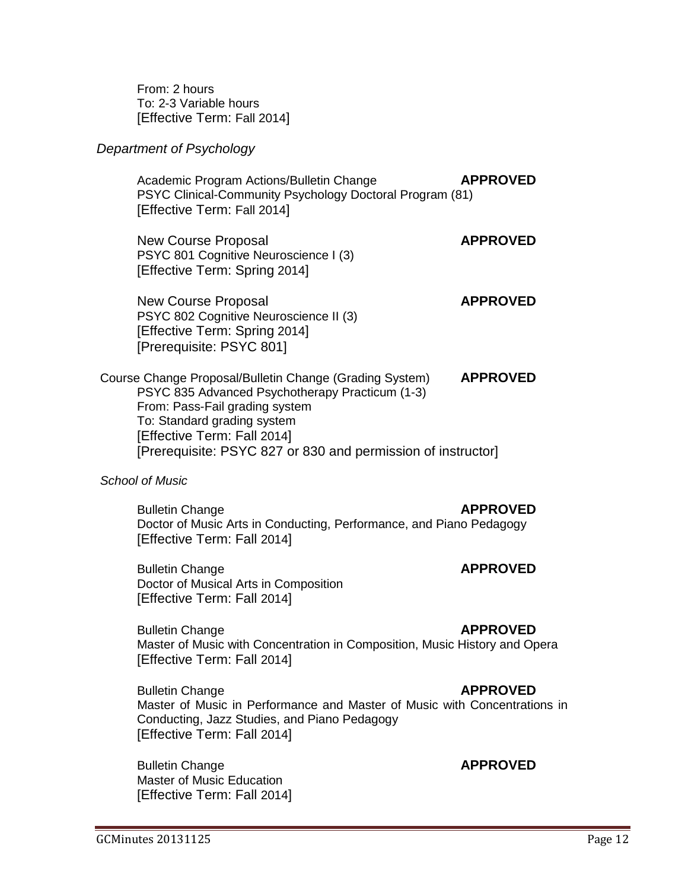From: 2 hours To: 2-3 Variable hours [Effective Term: Fall 2014]

## *Department of Psychology*

Academic Program Actions/Bulletin Change **APPROVED** [PSYC Clinical-Community Psychology Doctoral Program](http://gradschool.sc.edu/facstaff/gradcouncil/2013/PSYC%20Clinical-Community%20Psychology%20Doctoral%20Program%20APA_Redacted.pdf) (81) [Effective Term: Fall 2014]

New Course Proposal **APPROVED** [PSYC 801 Cognitive Neuroscience I](http://gradschool.sc.edu/facstaff/gradcouncil/2013/PSYC%20801%20Cognitive%20Neuroscience%20I_Redacted.pdf) (3) [Effective Term: Spring 2014]

New Course Proposal **APPROVED** [PSYC 802 Cognitive Neuroscience II](http://gradschool.sc.edu/facstaff/gradcouncil/2013/PSYC%20802%20Cognitive%20Neuroscience%20II_Redacted.pdf) (3) [Effective Term: Spring 2014] [Prerequisite: PSYC 801]

Course Change Proposal/Bulletin Change (Grading System) **APPROVED** [PSYC 835 Advanced Psychotherapy Practicum](http://gradschool.sc.edu/facstaff/gradcouncil/2013/PSYC%20835%20CCP%20w%20new%20syll_Redacted.pdf) (1-3) From: Pass-Fail grading system To: Standard grading system [Effective Term: Fall 2014] [Prerequisite: PSYC 827 or 830 and permission of instructor]

## *School of Music*

Bulletin Change **APPROVED** [Doctor of Music Arts in Conducting, Performance, and Piano Pedagogy](http://gradschool.sc.edu/facstaff/gradcouncil/2013/BCH%20Doc%20of%20music%20arts%20in%20conducting,%20performance%20and%20piano%20ped_Redacted.pdf) [Effective Term: Fall 2014]

Bulletin Change **APPROVED** [Doctor of Musical Arts in Composition](http://gradschool.sc.edu/facstaff/gradcouncil/2013/BCH%20Doctor%20of%20Musical%20Arts%20in%20Composition_Redacted.pdf) [Effective Term: Fall 2014]

**Bulletin Change APPROVED** [Master of Music with Concentration in Composition, Music History and Opera](http://gradschool.sc.edu/facstaff/gradcouncil/2013/BCH%20Master%20of%20Music%20w-Concentrations%20in%20Composition,%20Music%20History,%20Op_Redacted.pdf) [Effective Term: Fall 2014]

**Bulletin Change <b>APPROVED** [Master of Music in Performance and Master of Music with Concentrations in](http://gradschool.sc.edu/facstaff/gradcouncil/2013/BCH%20Master%20of%20Music%20in%20Performance%20and%20Master%20of%20Music%20w-Concentration_Redacted.pdf)  [Conducting, Jazz Studies, and Piano Pedagogy](http://gradschool.sc.edu/facstaff/gradcouncil/2013/BCH%20Master%20of%20Music%20in%20Performance%20and%20Master%20of%20Music%20w-Concentration_Redacted.pdf) [Effective Term: Fall 2014]

**Bulletin Change <b>APPROVED** [Master of Music Education](http://gradschool.sc.edu/facstaff/gradcouncil/2013/Master%20of%20Music%20Education_Redacted.pdf) [Effective Term: Fall 2014]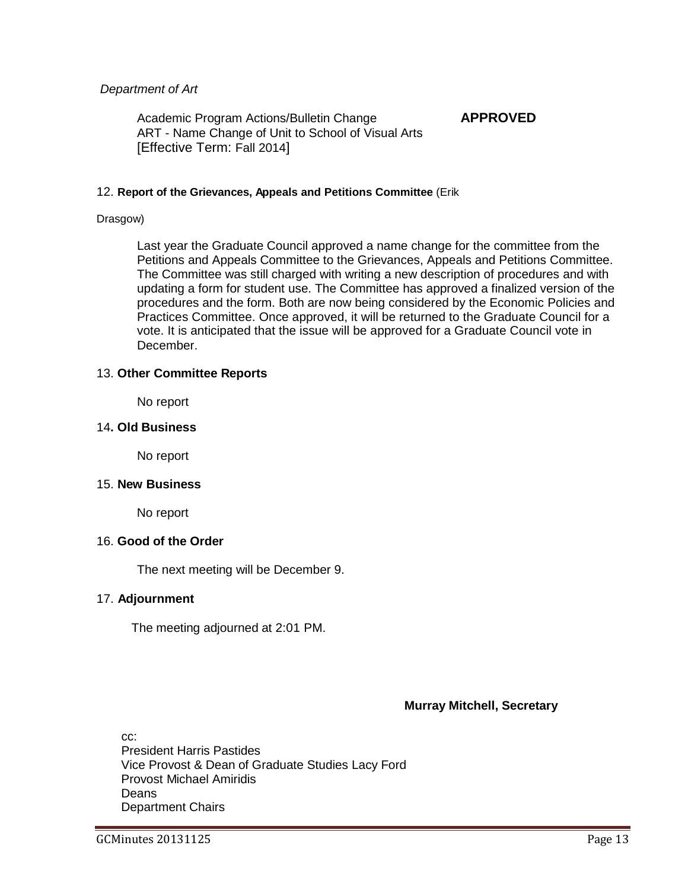## *Department of Art*

Academic Program Actions/Bulletin Change **APPROVED** ART - [Name Change of Unit to School of Visual Arts](http://gradschool.sc.edu/facstaff/gradcouncil/2013/ART%20Name%20Change%20of%20Unit%20to%20School%20of%20the%20Visual%20Arts%20APA-BCH_Redacted.pdf) [Effective Term: Fall 2014]

## 12. **Report of the Grievances, Appeals and Petitions Committee** (Erik

#### Drasgow)

Last year the Graduate Council approved a name change for the committee from the Petitions and Appeals Committee to the Grievances, Appeals and Petitions Committee. The Committee was still charged with writing a new description of procedures and with updating a form for student use. The Committee has approved a finalized version of the procedures and the form. Both are now being considered by the Economic Policies and Practices Committee. Once approved, it will be returned to the Graduate Council for a vote. It is anticipated that the issue will be approved for a Graduate Council vote in December.

## 13. **Other Committee Reports**

No report

## 14**. Old Business**

No report

#### 15. **New Business**

No report

## 16. **Good of the Order**

The next meeting will be December 9.

## 17. **Adjournment**

The meeting adjourned at 2:01 PM.

#### **Murray Mitchell, Secretary**

cc: President Harris Pastides Vice Provost & Dean of Graduate Studies Lacy Ford Provost Michael Amiridis Deans Department Chairs